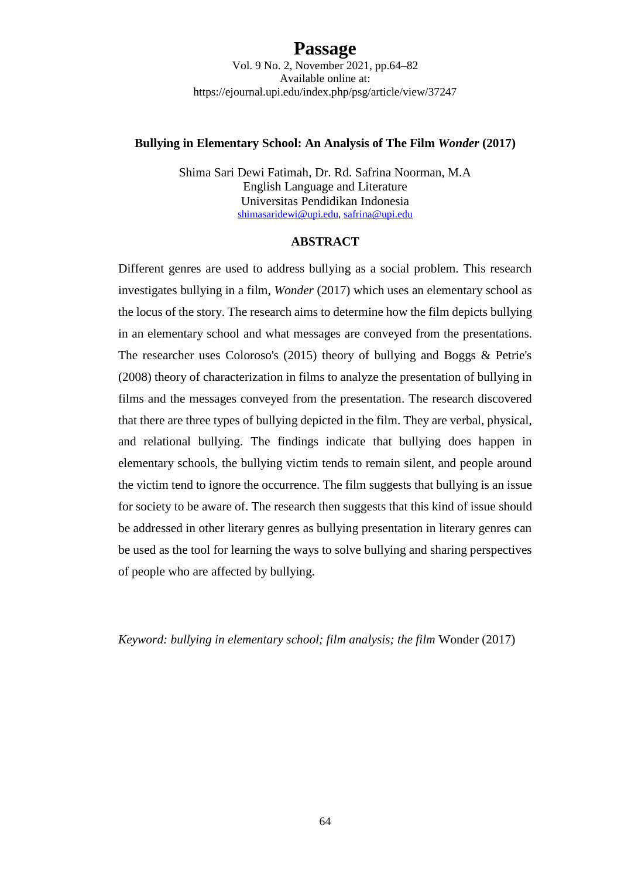# **Passage**

Vol. 9 No. 2, November 2021, pp.64–82 Available online at: https://ejournal.upi.edu/index.php/psg/article/view/37247

#### **Bullying in Elementary School: An Analysis of The Film** *Wonder* **(2017)**

Shima Sari Dewi Fatimah, Dr. Rd. Safrina Noorman, M.A English Language and Literature Universitas Pendidikan Indonesia [shimasaridewi@upi.edu,](mailto:shimasaridewi@upi.edu) [safrina@upi.edu](mailto:safrina@upi.edu)

#### **ABSTRACT**

Different genres are used to address bullying as a social problem. This research investigates bullying in a film, *Wonder* (2017) which uses an elementary school as the locus of the story. The research aims to determine how the film depicts bullying in an elementary school and what messages are conveyed from the presentations. The researcher uses Coloroso's (2015) theory of bullying and Boggs & Petrie's (2008) theory of characterization in films to analyze the presentation of bullying in films and the messages conveyed from the presentation. The research discovered that there are three types of bullying depicted in the film. They are verbal, physical, and relational bullying. The findings indicate that bullying does happen in elementary schools, the bullying victim tends to remain silent, and people around the victim tend to ignore the occurrence. The film suggests that bullying is an issue for society to be aware of. The research then suggests that this kind of issue should be addressed in other literary genres as bullying presentation in literary genres can be used as the tool for learning the ways to solve bullying and sharing perspectives of people who are affected by bullying.

*Keyword: bullying in elementary school; film analysis; the film* Wonder (2017)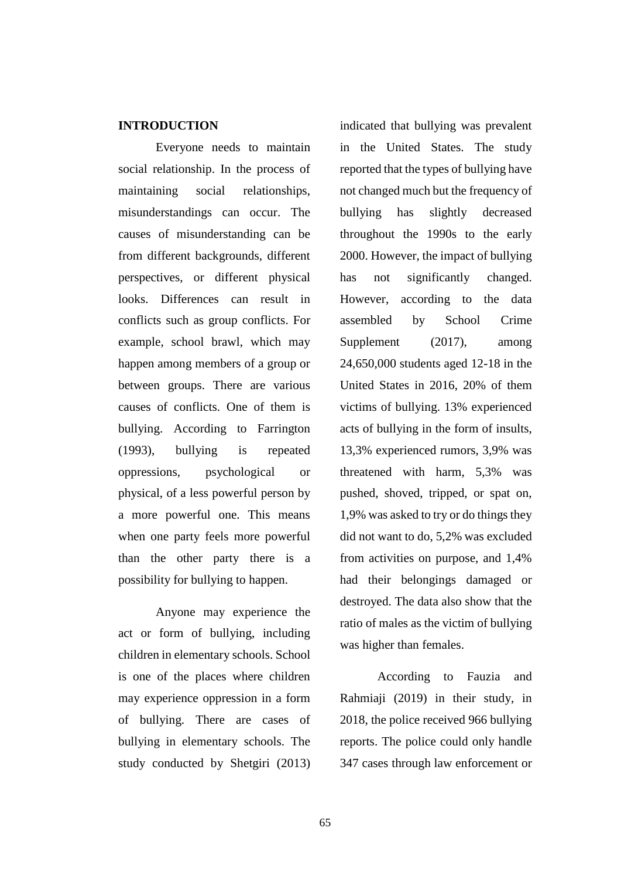### **INTRODUCTION**

Everyone needs to maintain social relationship. In the process of maintaining social relationships, misunderstandings can occur. The causes of misunderstanding can be from different backgrounds, different perspectives, or different physical looks. Differences can result in conflicts such as group conflicts. For example, school brawl, which may happen among members of a group or between groups. There are various causes of conflicts. One of them is bullying. According to Farrington (1993), bullying is repeated oppressions, psychological or physical, of a less powerful person by a more powerful one. This means when one party feels more powerful than the other party there is a possibility for bullying to happen.

Anyone may experience the act or form of bullying, including children in elementary schools. School is one of the places where children may experience oppression in a form of bullying. There are cases of bullying in elementary schools. The study conducted by Shetgiri (2013) indicated that bullying was prevalent in the United States. The study reported that the types of bullying have not changed much but the frequency of bullying has slightly decreased throughout the 1990s to the early 2000. However, the impact of bullying has not significantly changed. However, according to the data assembled by School Crime Supplement (2017), among 24,650,000 students aged 12-18 in the United States in 2016, 20% of them victims of bullying. 13% experienced acts of bullying in the form of insults, 13,3% experienced rumors, 3,9% was threatened with harm, 5,3% was pushed, shoved, tripped, or spat on, 1,9% was asked to try or do things they did not want to do, 5,2% was excluded from activities on purpose, and 1,4% had their belongings damaged or destroyed. The data also show that the ratio of males as the victim of bullying was higher than females.

According to Fauzia and Rahmiaji (2019) in their study, in 2018, the police received 966 bullying reports. The police could only handle 347 cases through law enforcement or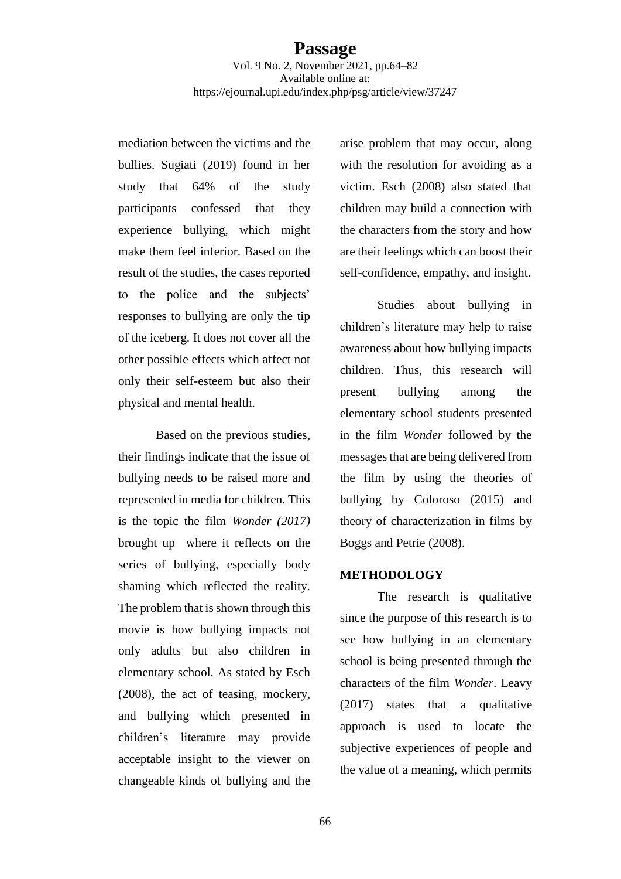mediation between the victims and the bullies. Sugiati (2019) found in her study that 64% of the study participants confessed that they experience bullying, which might make them feel inferior. Based on the result of the studies, the cases reported to the police and the subjects' responses to bullying are only the tip of the iceberg. It does not cover all the other possible effects which affect not only their self-esteem but also their physical and mental health.

Based on the previous studies, their findings indicate that the issue of bullying needs to be raised more and represented in media for children. This is the topic the film *Wonder (2017)*  brought up where it reflects on the series of bullying, especially body shaming which reflected the reality. The problem that is shown through this movie is how bullying impacts not only adults but also children in elementary school. As stated by Esch (2008), the act of teasing, mockery, and bullying which presented in children's literature may provide acceptable insight to the viewer on changeable kinds of bullying and the

arise problem that may occur, along with the resolution for avoiding as a victim. Esch (2008) also stated that children may build a connection with the characters from the story and how are their feelings which can boost their self-confidence, empathy, and insight.

Studies about bullying in children's literature may help to raise awareness about how bullying impacts children. Thus, this research will present bullying among the elementary school students presented in the film *Wonder* followed by the messages that are being delivered from the film by using the theories of bullying by Coloroso (2015) and theory of characterization in films by Boggs and Petrie (2008).

### **METHODOLOGY**

The research is qualitative since the purpose of this research is to see how bullying in an elementary school is being presented through the characters of the film *Wonder*. Leavy (2017) states that a qualitative approach is used to locate the subjective experiences of people and the value of a meaning, which permits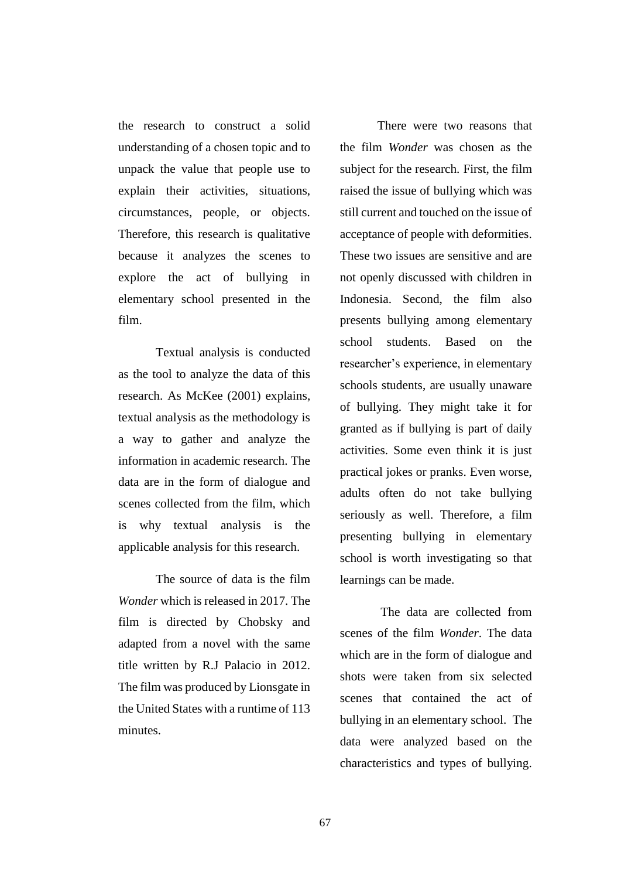the research to construct a solid understanding of a chosen topic and to unpack the value that people use to explain their activities, situations, circumstances, people, or objects. Therefore, this research is qualitative because it analyzes the scenes to explore the act of bullying in elementary school presented in the film.

Textual analysis is conducted as the tool to analyze the data of this research. As McKee (2001) explains, textual analysis as the methodology is a way to gather and analyze the information in academic research. The data are in the form of dialogue and scenes collected from the film, which is why textual analysis is the applicable analysis for this research.

The source of data is the film *Wonder* which is released in 2017. The film is directed by Chobsky and adapted from a novel with the same title written by R.J Palacio in 2012. The film was produced by Lionsgate in the United States with a runtime of 113 minutes.

There were two reasons that the film *Wonder* was chosen as the subject for the research. First, the film raised the issue of bullying which was still current and touched on the issue of acceptance of people with deformities. These two issues are sensitive and are not openly discussed with children in Indonesia. Second, the film also presents bullying among elementary school students. Based on the researcher's experience, in elementary schools students, are usually unaware of bullying. They might take it for granted as if bullying is part of daily activities. Some even think it is just practical jokes or pranks. Even worse, adults often do not take bullying seriously as well. Therefore, a film presenting bullying in elementary school is worth investigating so that learnings can be made.

The data are collected from scenes of the film *Wonder*. The data which are in the form of dialogue and shots were taken from six selected scenes that contained the act of bullying in an elementary school. The data were analyzed based on the characteristics and types of bullying.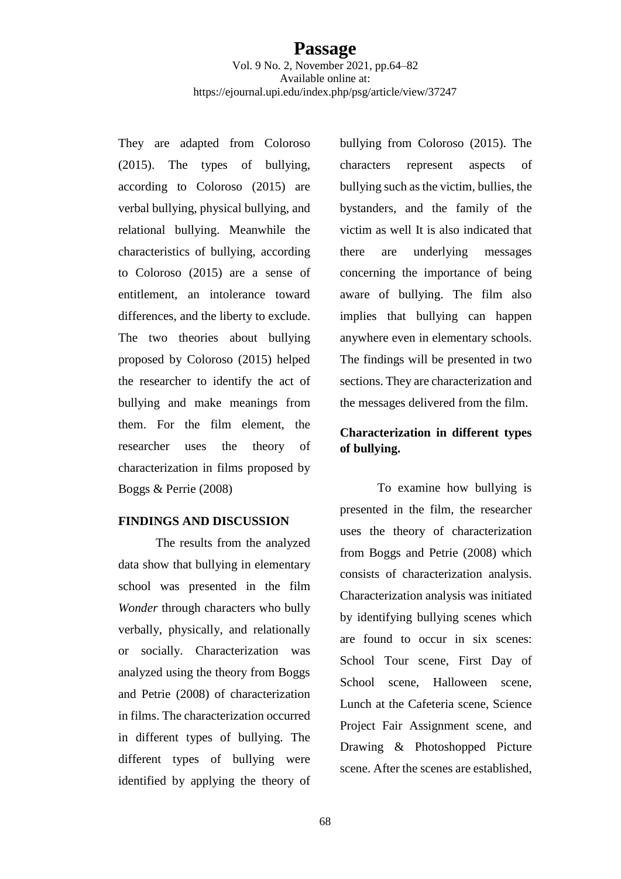They are adapted from Coloroso (2015). The types of bullying, according to Coloroso (2015) are verbal bullying, physical bullying, and relational bullying. Meanwhile the characteristics of bullying, according to Coloroso (2015) are a sense of entitlement, an intolerance toward differences, and the liberty to exclude. The two theories about bullying proposed by Coloroso (2015) helped the researcher to identify the act of bullying and make meanings from them. For the film element, the researcher uses the theory of characterization in films proposed by Boggs & Perrie (2008)

### **FINDINGS AND DISCUSSION**

The results from the analyzed data show that bullying in elementary school was presented in the film *Wonder* through characters who bully verbally, physically, and relationally or socially. Characterization was analyzed using the theory from Boggs and Petrie (2008) of characterization in films. The characterization occurred in different types of bullying. The different types of bullying were identified by applying the theory of

bullying from Coloroso (2015). The characters represent aspects of bullying such as the victim, bullies, the bystanders, and the family of the victim as well It is also indicated that there are underlying messages concerning the importance of being aware of bullying. The film also implies that bullying can happen anywhere even in elementary schools. The findings will be presented in two sections. They are characterization and the messages delivered from the film.

# **Characterization in different types of bullying.**

To examine how bullying is presented in the film, the researcher uses the theory of characterization from Boggs and Petrie (2008) which consists of characterization analysis. Characterization analysis was initiated by identifying bullying scenes which are found to occur in six scenes: School Tour scene, First Day of School scene, Halloween scene, Lunch at the Cafeteria scene, Science Project Fair Assignment scene, and Drawing & Photoshopped Picture scene. After the scenes are established,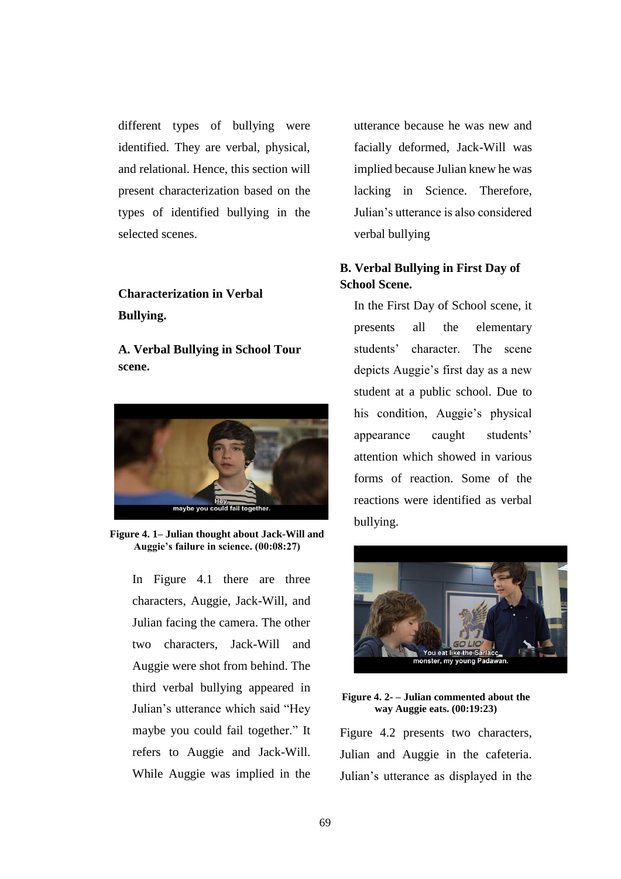different types of bullying were identified. They are verbal, physical, and relational. Hence, this section will present characterization based on the types of identified bullying in the selected scenes.

# **Characterization in Verbal Bullying.**

**A. Verbal Bullying in School Tour scene.** 



**Figure 4. 1– Julian thought about Jack-Will and Auggie's failure in science. (00:08:27)**

In Figure 4.1 there are three characters, Auggie, Jack-Will, and Julian facing the camera. The other two characters, Jack-Will and Auggie were shot from behind. The third verbal bullying appeared in Julian's utterance which said "Hey maybe you could fail together." It refers to Auggie and Jack-Will. While Auggie was implied in the utterance because he was new and facially deformed, Jack-Will was implied because Julian knew he was lacking in Science. Therefore, Julian's utterance is also considered verbal bullying

# **B. Verbal Bullying in First Day of School Scene.**

In the First Day of School scene, it presents all the elementary students' character. The scene depicts Auggie's first day as a new student at a public school. Due to his condition, Auggie's physical appearance caught students' attention which showed in various forms of reaction. Some of the reactions were identified as verbal bullying.



#### **Figure 4. 2- – Julian commented about the way Auggie eats. (00:19:23)**

Figure 4.2 presents two characters, Julian and Auggie in the cafeteria. Julian's utterance as displayed in the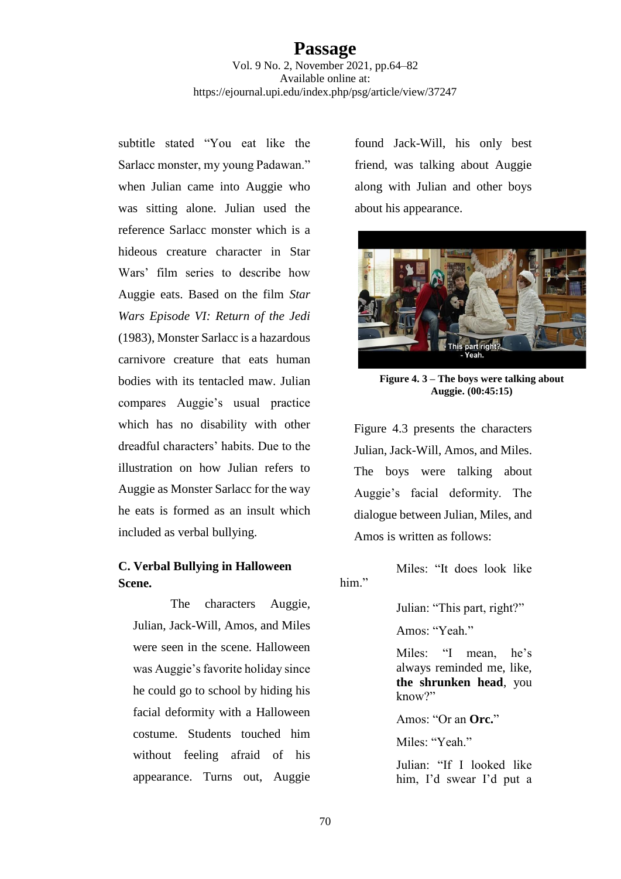subtitle stated "You eat like the Sarlacc monster, my young Padawan." when Julian came into Auggie who was sitting alone. Julian used the reference Sarlacc monster which is a hideous creature character in Star Wars' film series to describe how Auggie eats. Based on the film *Star Wars Episode VI: Return of the Jedi* (1983), Monster Sarlacc is a hazardous carnivore creature that eats human bodies with its tentacled maw. Julian compares Auggie's usual practice which has no disability with other dreadful characters' habits. Due to the illustration on how Julian refers to Auggie as Monster Sarlacc for the way he eats is formed as an insult which included as verbal bullying.

# **C. Verbal Bullying in Halloween Scene.**

The characters Auggie, Julian, Jack-Will, Amos, and Miles were seen in the scene. Halloween was Auggie's favorite holiday since he could go to school by hiding his facial deformity with a Halloween costume. Students touched him without feeling afraid of his appearance. Turns out, Auggie

found Jack-Will, his only best friend, was talking about Auggie along with Julian and other boys about his appearance.



**Figure 4. 3 – The boys were talking about Auggie. (00:45:15)**

Figure 4.3 presents the characters Julian, Jack-Will, Amos, and Miles. The boys were talking about Auggie's facial deformity. The dialogue between Julian, Miles, and Amos is written as follows:

```
 Miles: "It does look like 
him."
```
Julian: "This part, right?"

Amos: "Yeah."

Miles: "I mean, he's always reminded me, like, **the shrunken head**, you know?"

Amos: "Or an **Orc.**"

Miles: "Yeah"

Julian: "If I looked like him, I'd swear I'd put a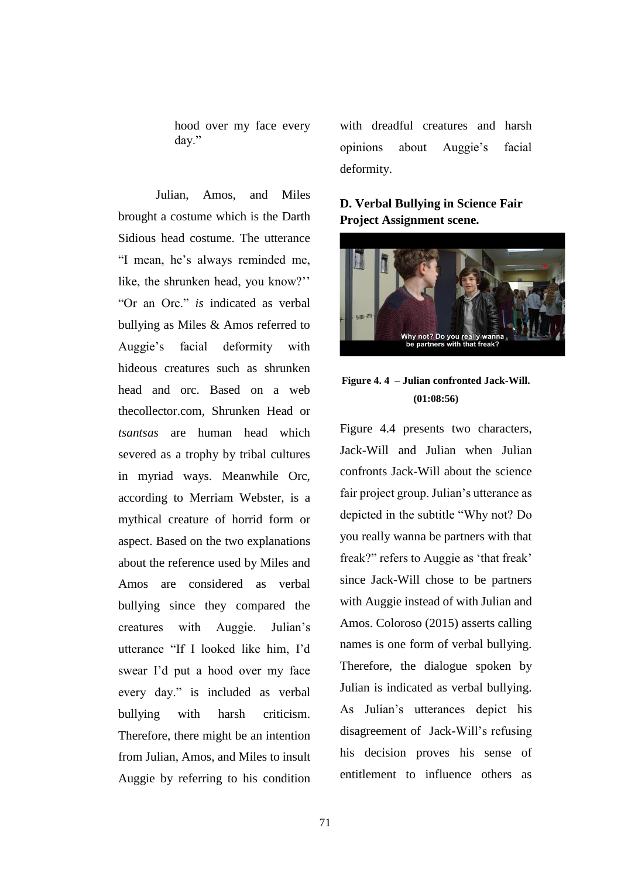hood over my face every day."

Julian, Amos, and Miles brought a costume which is the Darth Sidious head costume. The utterance "I mean, he's always reminded me, like, the shrunken head, you know?'' "Or an Orc." *is* indicated as verbal bullying as Miles & Amos referred to Auggie's facial deformity with hideous creatures such as shrunken head and orc. Based on a web thecollector.com, Shrunken Head or *tsantsas* are human head which severed as a trophy by tribal cultures in myriad ways. Meanwhile Orc, according to Merriam Webster, is a mythical creature of horrid form or aspect. Based on the two explanations about the reference used by Miles and Amos are considered as verbal bullying since they compared the creatures with Auggie. Julian's utterance "If I looked like him, I'd swear I'd put a hood over my face every day." is included as verbal bullying with harsh criticism. Therefore, there might be an intention from Julian, Amos, and Miles to insult Auggie by referring to his condition

with dreadful creatures and harsh opinions about Auggie's facial deformity.

# **D. Verbal Bullying in Science Fair Project Assignment scene.**



# **Figure 4. 4 – Julian confronted Jack-Will. (01:08:56)**

Figure 4.4 presents two characters, Jack-Will and Julian when Julian confronts Jack-Will about the science fair project group. Julian's utterance as depicted in the subtitle "Why not? Do you really wanna be partners with that freak?" refers to Auggie as 'that freak' since Jack-Will chose to be partners with Auggie instead of with Julian and Amos. Coloroso (2015) asserts calling names is one form of verbal bullying. Therefore, the dialogue spoken by Julian is indicated as verbal bullying. As Julian's utterances depict his disagreement of Jack-Will's refusing his decision proves his sense of entitlement to influence others as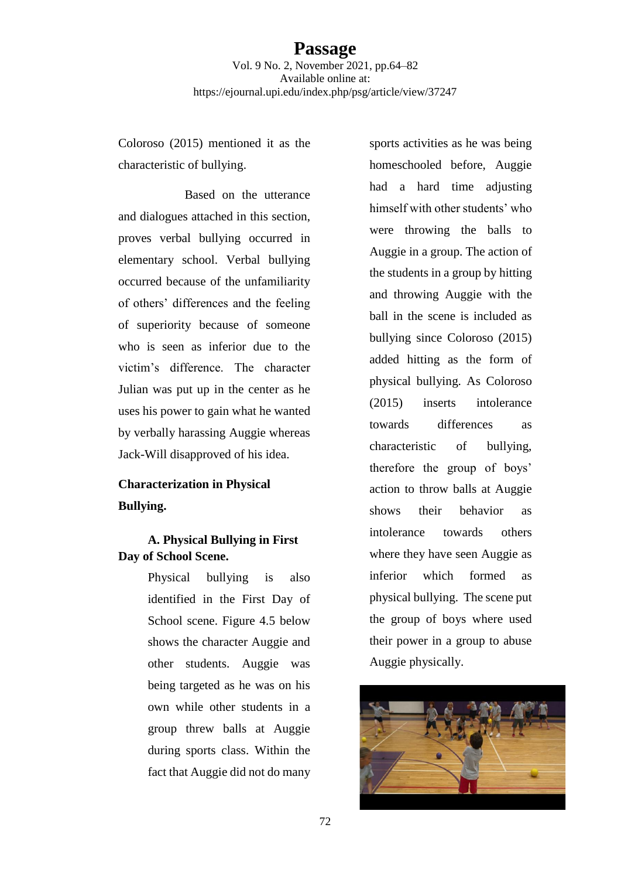Coloroso (2015) mentioned it as the characteristic of bullying.

Based on the utterance and dialogues attached in this section, proves verbal bullying occurred in elementary school. Verbal bullying occurred because of the unfamiliarity of others' differences and the feeling of superiority because of someone who is seen as inferior due to the victim's difference. The character Julian was put up in the center as he uses his power to gain what he wanted by verbally harassing Auggie whereas Jack-Will disapproved of his idea.

# **Characterization in Physical Bullying.**

**A. Physical Bullying in First Day of School Scene.** 

> Physical bullying is also identified in the First Day of School scene. Figure 4.5 below shows the character Auggie and other students. Auggie was being targeted as he was on his own while other students in a group threw balls at Auggie during sports class. Within the fact that Auggie did not do many

sports activities as he was being homeschooled before, Auggie had a hard time adjusting himself with other students' who were throwing the balls to Auggie in a group. The action of the students in a group by hitting and throwing Auggie with the ball in the scene is included as bullying since Coloroso (2015) added hitting as the form of physical bullying. As Coloroso (2015) inserts intolerance towards differences as characteristic of bullying, therefore the group of boys' action to throw balls at Auggie shows their behavior as intolerance towards others where they have seen Auggie as inferior which formed as physical bullying. The scene put the group of boys where used their power in a group to abuse Auggie physically.

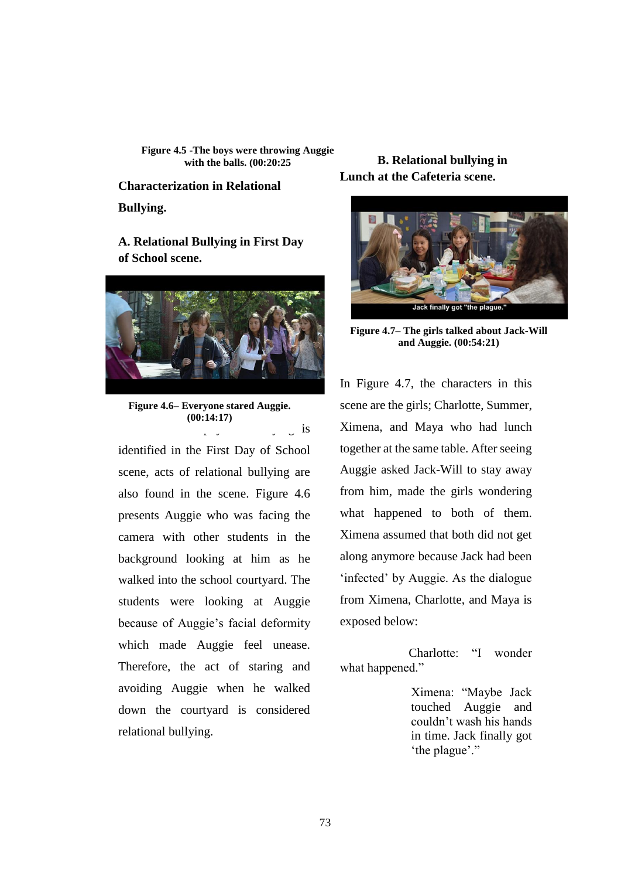**Figure 4.5 -The boys were throwing Auggie with the balls. (00:20:25**

**Characterization in Relational Bullying.**

**A. Relational Bullying in First Day of School scene.**



is **Figure 4.6– Everyone stared Auggie. (00:14:17)**

identified in the First Day of School scene, acts of relational bullying are also found in the scene. Figure 4.6 presents Auggie who was facing the camera with other students in the background looking at him as he walked into the school courtyard. The students were looking at Auggie because of Auggie's facial deformity which made Auggie feel unease. Therefore, the act of staring and avoiding Auggie when he walked down the courtyard is considered relational bullying.

**B. Relational bullying in Lunch at the Cafeteria scene.** 



**Figure 4.7– The girls talked about Jack-Will and Auggie. (00:54:21)**

In Figure 4.7, the characters in this scene are the girls; Charlotte, Summer, Ximena, and Maya who had lunch together at the same table. After seeing Auggie asked Jack-Will to stay away from him, made the girls wondering what happened to both of them. Ximena assumed that both did not get along anymore because Jack had been 'infected' by Auggie. As the dialogue from Ximena, Charlotte, and Maya is exposed below:

 Charlotte: "I wonder what happened."

> Ximena: "Maybe Jack touched Auggie and couldn't wash his hands in time. Jack finally got 'the plague'."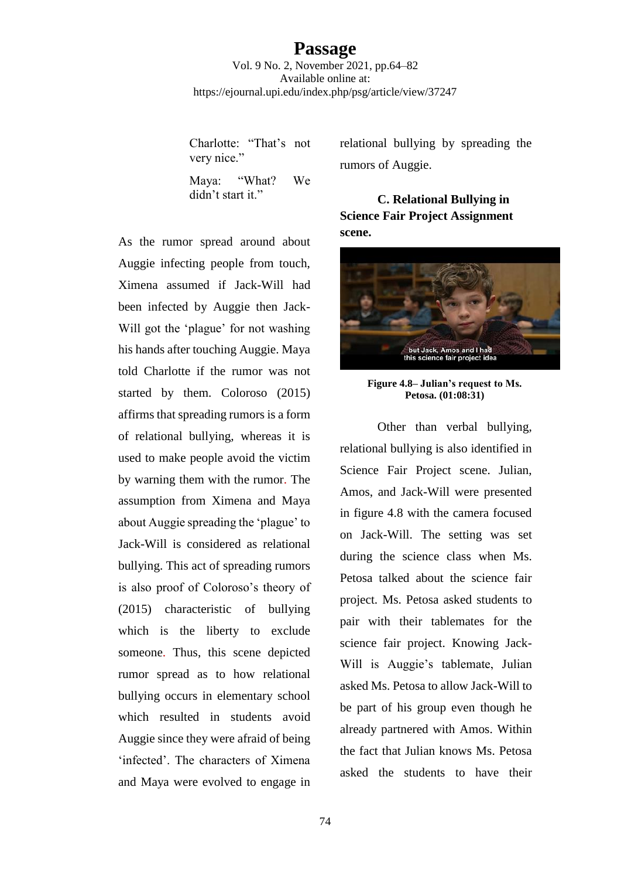# **Passage**

Vol. 9 No. 2, November 2021, pp.64–82 Available online at: https://ejournal.upi.edu/index.php/psg/article/view/37247

Charlotte: "That's not very nice." Maya: "What? We

didn't start it."

As the rumor spread around about Auggie infecting people from touch, Ximena assumed if Jack-Will had been infected by Auggie then Jack-Will got the 'plague' for not washing his hands after touching Auggie. Maya told Charlotte if the rumor was not started by them. Coloroso (2015) affirms that spreading rumors is a form of relational bullying, whereas it is used to make people avoid the victim by warning them with the rumor. The assumption from Ximena and Maya about Auggie spreading the 'plague' to Jack-Will is considered as relational bullying. This act of spreading rumors is also proof of Coloroso's theory of (2015) characteristic of bullying which is the liberty to exclude someone. Thus, this scene depicted rumor spread as to how relational bullying occurs in elementary school which resulted in students avoid Auggie since they were afraid of being 'infected'. The characters of Ximena and Maya were evolved to engage in

relational bullying by spreading the rumors of Auggie.

**C. Relational Bullying in Science Fair Project Assignment scene.** 



**Figure 4.8– Julian's request to Ms. Petosa. (01:08:31)**

Other than verbal bullying, relational bullying is also identified in Science Fair Project scene. Julian, Amos, and Jack-Will were presented in figure 4.8 with the camera focused on Jack-Will. The setting was set during the science class when Ms. Petosa talked about the science fair project. Ms. Petosa asked students to pair with their tablemates for the science fair project. Knowing Jack-Will is Auggie's tablemate, Julian asked Ms. Petosa to allow Jack-Will to be part of his group even though he already partnered with Amos. Within the fact that Julian knows Ms. Petosa asked the students to have their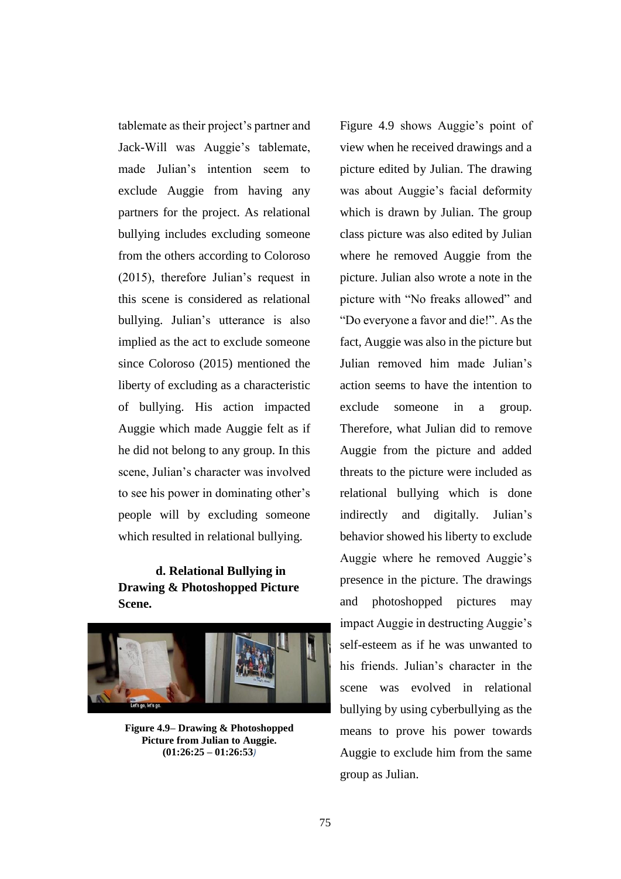tablemate as their project's partner and Jack-Will was Auggie's tablemate, made Julian's intention seem to exclude Auggie from having any partners for the project. As relational bullying includes excluding someone from the others according to Coloroso (2015), therefore Julian's request in this scene is considered as relational bullying. Julian's utterance is also implied as the act to exclude someone since Coloroso (2015) mentioned the liberty of excluding as a characteristic of bullying. His action impacted Auggie which made Auggie felt as if he did not belong to any group. In this scene, Julian's character was involved to see his power in dominating other's people will by excluding someone which resulted in relational bullying.

# **d. Relational Bullying in Drawing & Photoshopped Picture Scene.**



**Figure 4.9– Drawing & Photoshopped Picture from Julian to Auggie. (01:26:25 – 01:26:53***)*

Figure 4.9 shows Auggie's point of view when he received drawings and a picture edited by Julian. The drawing was about Auggie's facial deformity which is drawn by Julian. The group class picture was also edited by Julian where he removed Auggie from the picture. Julian also wrote a note in the picture with "No freaks allowed" and "Do everyone a favor and die!". As the fact, Auggie was also in the picture but Julian removed him made Julian's action seems to have the intention to exclude someone in a group. Therefore, what Julian did to remove Auggie from the picture and added threats to the picture were included as relational bullying which is done indirectly and digitally. Julian's behavior showed his liberty to exclude Auggie where he removed Auggie's presence in the picture. The drawings and photoshopped pictures may impact Auggie in destructing Auggie's self-esteem as if he was unwanted to his friends. Julian's character in the scene was evolved in relational bullying by using cyberbullying as the means to prove his power towards Auggie to exclude him from the same group as Julian.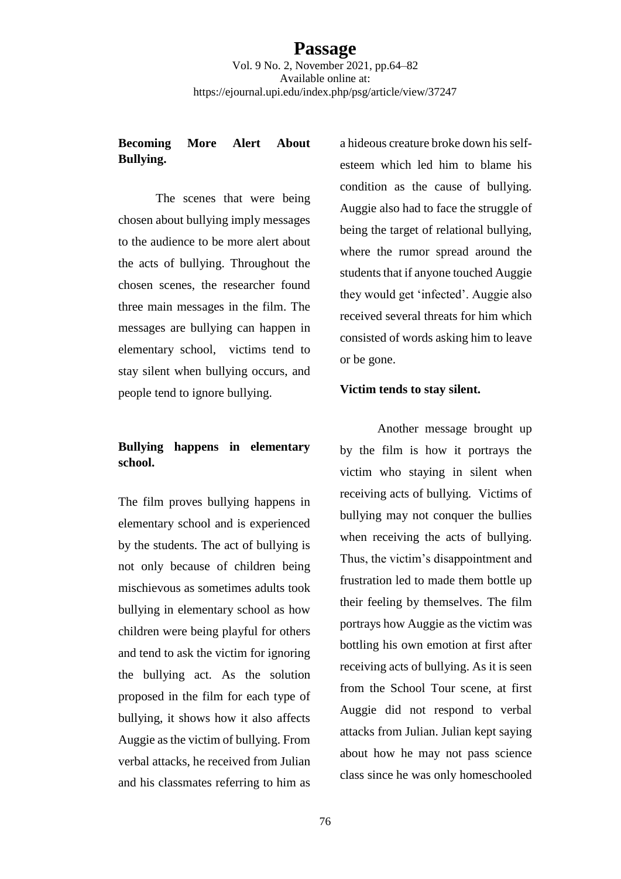# **Becoming More Alert About Bullying.**

The scenes that were being chosen about bullying imply messages to the audience to be more alert about the acts of bullying. Throughout the chosen scenes, the researcher found three main messages in the film. The messages are bullying can happen in elementary school, victims tend to stay silent when bullying occurs, and people tend to ignore bullying.

# **Bullying happens in elementary school.**

The film proves bullying happens in elementary school and is experienced by the students. The act of bullying is not only because of children being mischievous as sometimes adults took bullying in elementary school as how children were being playful for others and tend to ask the victim for ignoring the bullying act. As the solution proposed in the film for each type of bullying, it shows how it also affects Auggie as the victim of bullying. From verbal attacks, he received from Julian and his classmates referring to him as

a hideous creature broke down his selfesteem which led him to blame his condition as the cause of bullying. Auggie also had to face the struggle of being the target of relational bullying, where the rumor spread around the students that if anyone touched Auggie they would get 'infected'. Auggie also received several threats for him which consisted of words asking him to leave or be gone.

### **Victim tends to stay silent.**

Another message brought up by the film is how it portrays the victim who staying in silent when receiving acts of bullying. Victims of bullying may not conquer the bullies when receiving the acts of bullying. Thus, the victim's disappointment and frustration led to made them bottle up their feeling by themselves. The film portrays how Auggie as the victim was bottling his own emotion at first after receiving acts of bullying. As it is seen from the School Tour scene, at first Auggie did not respond to verbal attacks from Julian. Julian kept saying about how he may not pass science class since he was only homeschooled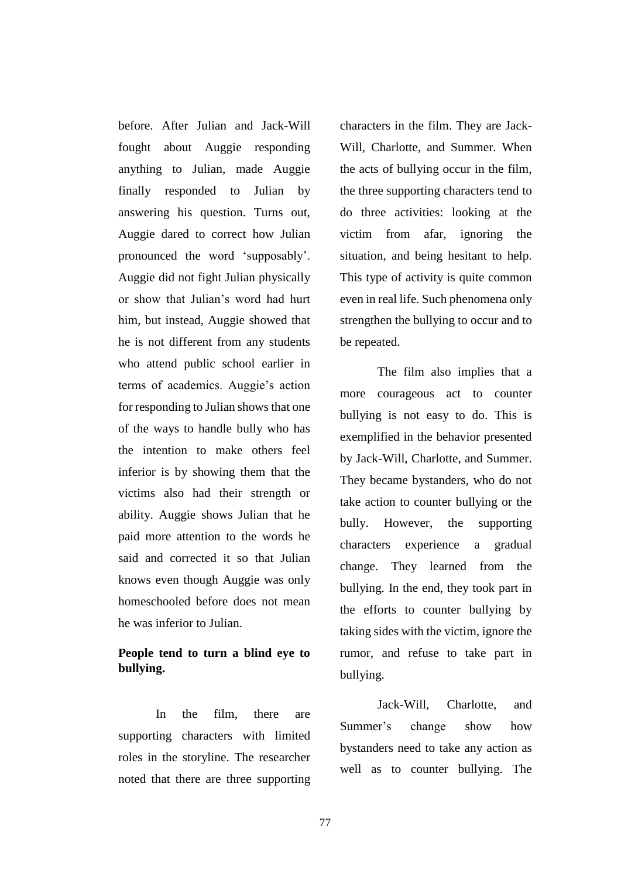before. After Julian and Jack-Will fought about Auggie responding anything to Julian, made Auggie finally responded to Julian by answering his question. Turns out, Auggie dared to correct how Julian pronounced the word 'supposably'. Auggie did not fight Julian physically or show that Julian's word had hurt him, but instead, Auggie showed that he is not different from any students who attend public school earlier in terms of academics. Auggie's action for responding to Julian shows that one of the ways to handle bully who has the intention to make others feel inferior is by showing them that the victims also had their strength or ability. Auggie shows Julian that he paid more attention to the words he said and corrected it so that Julian knows even though Auggie was only homeschooled before does not mean he was inferior to Julian.

# **People tend to turn a blind eye to bullying.**

In the film, there are supporting characters with limited roles in the storyline. The researcher noted that there are three supporting

characters in the film. They are Jack-Will, Charlotte, and Summer. When the acts of bullying occur in the film, the three supporting characters tend to do three activities: looking at the victim from afar, ignoring the situation, and being hesitant to help. This type of activity is quite common even in real life. Such phenomena only strengthen the bullying to occur and to be repeated.

The film also implies that a more courageous act to counter bullying is not easy to do. This is exemplified in the behavior presented by Jack-Will, Charlotte, and Summer. They became bystanders, who do not take action to counter bullying or the bully. However, the supporting characters experience a gradual change. They learned from the bullying. In the end, they took part in the efforts to counter bullying by taking sides with the victim, ignore the rumor, and refuse to take part in bullying.

Jack-Will, Charlotte, and Summer's change show how bystanders need to take any action as well as to counter bullying. The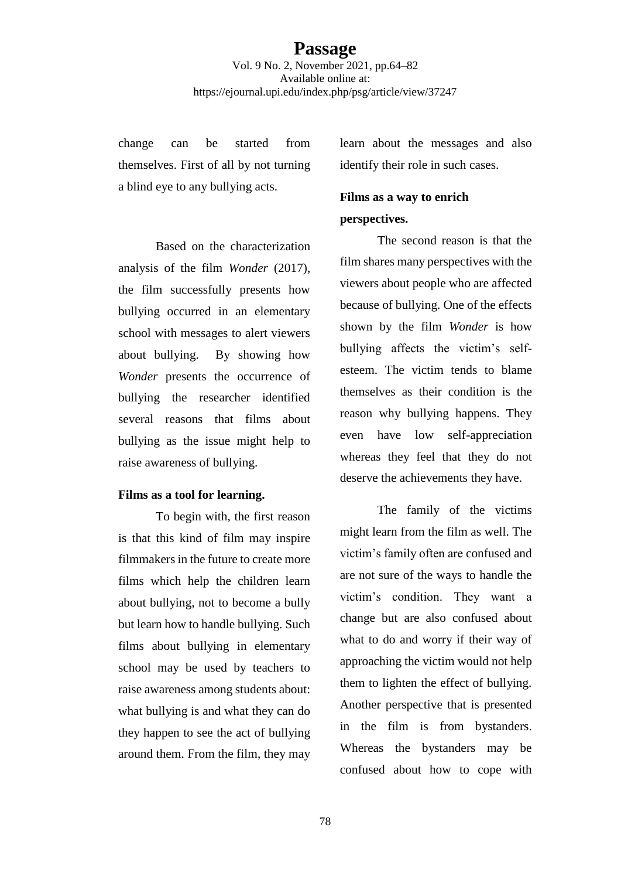change can be started from themselves. First of all by not turning a blind eye to any bullying acts.

Based on the characterization analysis of the film *Wonder* (2017), the film successfully presents how bullying occurred in an elementary school with messages to alert viewers about bullying. By showing how *Wonder* presents the occurrence of bullying the researcher identified several reasons that films about bullying as the issue might help to raise awareness of bullying.

### **Films as a tool for learning.**

To begin with, the first reason is that this kind of film may inspire filmmakers in the future to create more films which help the children learn about bullying, not to become a bully but learn how to handle bullying. Such films about bullying in elementary school may be used by teachers to raise awareness among students about: what bullying is and what they can do they happen to see the act of bullying around them. From the film, they may learn about the messages and also identify their role in such cases.

# **Films as a way to enrich**

# **perspectives.**

The second reason is that the film shares many perspectives with the viewers about people who are affected because of bullying. One of the effects shown by the film *Wonder* is how bullying affects the victim's selfesteem. The victim tends to blame themselves as their condition is the reason why bullying happens. They even have low self-appreciation whereas they feel that they do not deserve the achievements they have.

The family of the victims might learn from the film as well. The victim's family often are confused and are not sure of the ways to handle the victim's condition. They want a change but are also confused about what to do and worry if their way of approaching the victim would not help them to lighten the effect of bullying. Another perspective that is presented in the film is from bystanders. Whereas the bystanders may be confused about how to cope with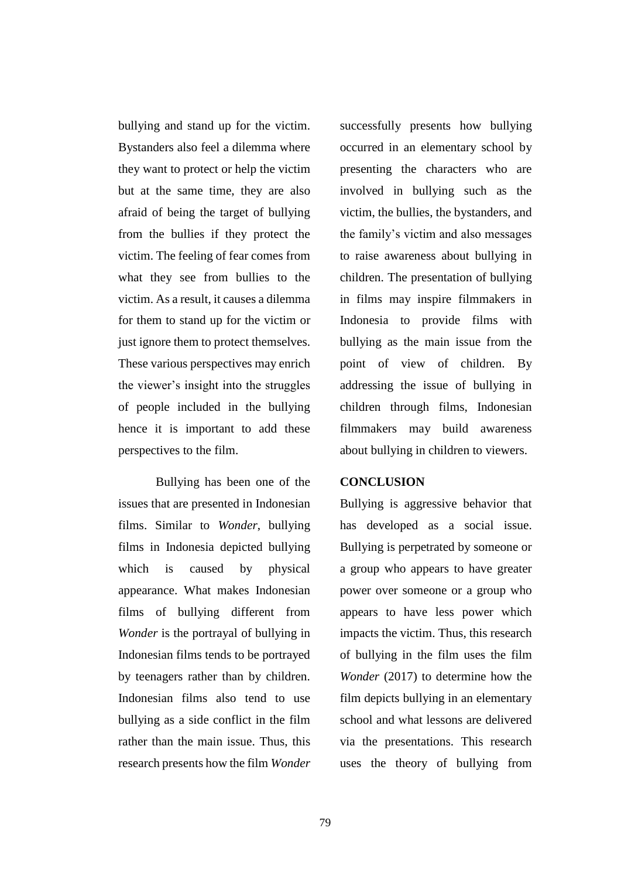bullying and stand up for the victim. Bystanders also feel a dilemma where they want to protect or help the victim but at the same time, they are also afraid of being the target of bullying from the bullies if they protect the victim. The feeling of fear comes from what they see from bullies to the victim. As a result, it causes a dilemma for them to stand up for the victim or just ignore them to protect themselves. These various perspectives may enrich the viewer's insight into the struggles of people included in the bullying hence it is important to add these perspectives to the film.

Bullying has been one of the issues that are presented in Indonesian films. Similar to *Wonder*, bullying films in Indonesia depicted bullying which is caused by physical appearance. What makes Indonesian films of bullying different from *Wonder* is the portrayal of bullying in Indonesian films tends to be portrayed by teenagers rather than by children. Indonesian films also tend to use bullying as a side conflict in the film rather than the main issue. Thus, this research presents how the film *Wonder* 

successfully presents how bullying occurred in an elementary school by presenting the characters who are involved in bullying such as the victim, the bullies, the bystanders, and the family's victim and also messages to raise awareness about bullying in children. The presentation of bullying in films may inspire filmmakers in Indonesia to provide films with bullying as the main issue from the point of view of children. By addressing the issue of bullying in children through films, Indonesian filmmakers may build awareness about bullying in children to viewers.

### **CONCLUSION**

Bullying is aggressive behavior that has developed as a social issue. Bullying is perpetrated by someone or a group who appears to have greater power over someone or a group who appears to have less power which impacts the victim. Thus, this research of bullying in the film uses the film *Wonder* (2017) to determine how the film depicts bullying in an elementary school and what lessons are delivered via the presentations. This research uses the theory of bullying from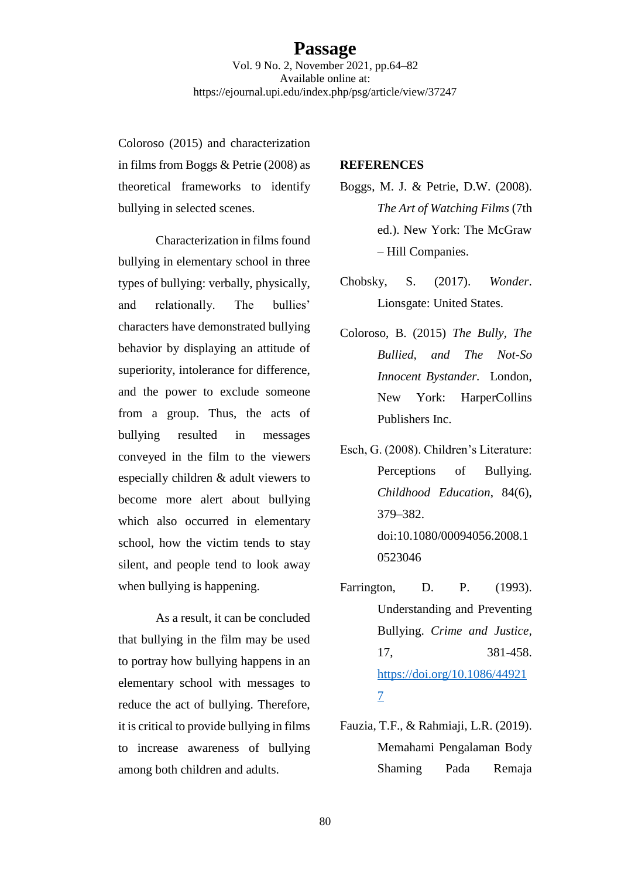Coloroso (2015) and characterization in films from Boggs & Petrie (2008) as theoretical frameworks to identify bullying in selected scenes.

Characterization in films found bullying in elementary school in three types of bullying: verbally, physically, and relationally. The bullies' characters have demonstrated bullying behavior by displaying an attitude of superiority, intolerance for difference, and the power to exclude someone from a group. Thus, the acts of bullying resulted in messages conveyed in the film to the viewers especially children & adult viewers to become more alert about bullying which also occurred in elementary school, how the victim tends to stay silent, and people tend to look away when bullying is happening.

As a result, it can be concluded that bullying in the film may be used to portray how bullying happens in an elementary school with messages to reduce the act of bullying. Therefore, it is critical to provide bullying in films to increase awareness of bullying among both children and adults.

### **REFERENCES**

- Boggs, M. J. & Petrie, D.W. (2008). *The Art of Watching Films* (7th ed.). New York: The McGraw – Hill Companies.
- Chobsky, S. (2017). *Wonder*. Lionsgate: United States.
- Coloroso, B. (2015) *The Bully, The Bullied, and The Not-So Innocent Bystander.* London, New York: HarperCollins Publishers Inc.
- Esch, G. (2008). Children's Literature: Perceptions of Bullying. *Childhood Education*, 84(6), 379–382. doi:10.1080/00094056.2008.1 0523046
- Farrington, D. P. (1993). Understanding and Preventing Bullying. *Crime and Justice,* 17, 381-458. [https://doi.org/10.1086/44921](https://doi.org/10.1086/449217) [7](https://doi.org/10.1086/449217)
- Fauzia, T.F., & Rahmiaji, L.R. (2019). Memahami Pengalaman Body Shaming Pada Remaja